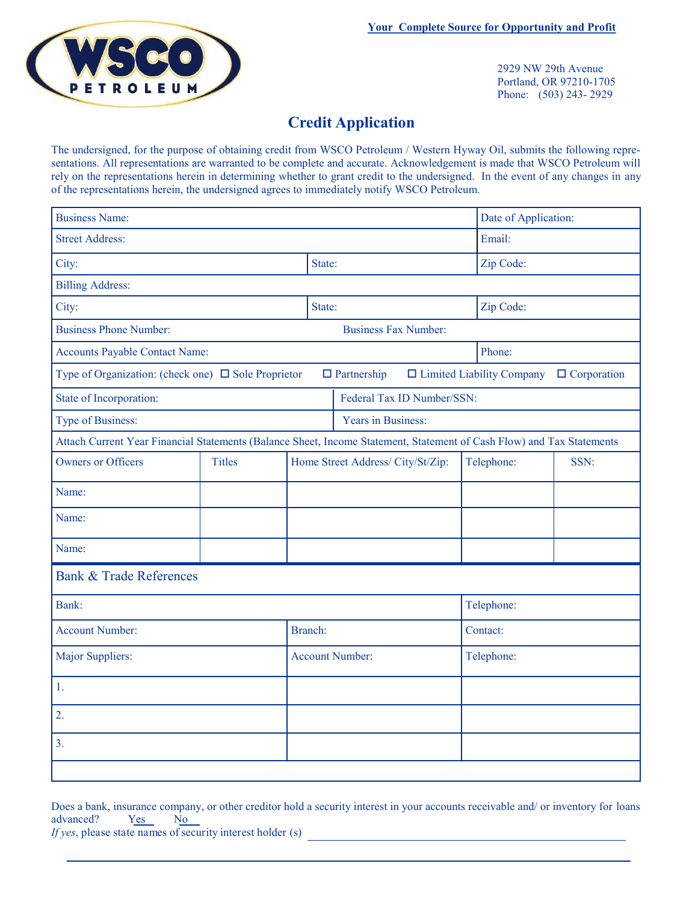

2929 NW 29th Avenue Portland, OR 97210-1705 Phone: (503) 243- 2929

## **Credit Application**

The undersigned, for the purpose of obtaining credit from WSCO Petroleum / Western Hyway Oil, submits the following representations. All representations are warranted to be complete and accurate. Acknowledgement is made that WSCO Petroleum will rely on the representations herein in determining whether to grant credit to the undersigned. In the event of any changes in any of the representations herein, the undersigned agrees to immediately notify WSCO Petroleum.

| <b>Business Name:</b>                                                                                                                 |               | Date of Application: |                                   |  |            |            |      |  |
|---------------------------------------------------------------------------------------------------------------------------------------|---------------|----------------------|-----------------------------------|--|------------|------------|------|--|
| <b>Street Address:</b>                                                                                                                |               |                      |                                   |  |            | Email:     |      |  |
| City:                                                                                                                                 |               |                      | State:                            |  |            | Zip Code:  |      |  |
| <b>Billing Address:</b>                                                                                                               |               |                      |                                   |  |            |            |      |  |
| City:                                                                                                                                 |               |                      | State:                            |  |            | Zip Code:  |      |  |
| <b>Business Phone Number:</b><br><b>Business Fax Number:</b>                                                                          |               |                      |                                   |  |            |            |      |  |
| <b>Accounts Payable Contact Name:</b>                                                                                                 |               |                      |                                   |  | Phone:     |            |      |  |
| Type of Organization: (check one) $\Box$ Sole Proprietor<br>$\Box$ Partnership<br>$\Box$ Limited Liability Company $\Box$ Corporation |               |                      |                                   |  |            |            |      |  |
| State of Incorporation:                                                                                                               |               |                      | Federal Tax ID Number/SSN:        |  |            |            |      |  |
| Type of Business:                                                                                                                     |               |                      | Years in Business:                |  |            |            |      |  |
| Attach Current Year Financial Statements (Balance Sheet, Income Statement, Statement of Cash Flow) and Tax Statements                 |               |                      |                                   |  |            |            |      |  |
| <b>Owners or Officers</b>                                                                                                             | <b>Titles</b> |                      | Home Street Address/ City/St/Zip: |  |            | Telephone: | SSN: |  |
| Name:                                                                                                                                 |               |                      |                                   |  |            |            |      |  |
| Name:                                                                                                                                 |               |                      |                                   |  |            |            |      |  |
| Name:                                                                                                                                 |               |                      |                                   |  |            |            |      |  |
| <b>Bank &amp; Trade References</b>                                                                                                    |               |                      |                                   |  |            |            |      |  |
| Bank:                                                                                                                                 |               |                      |                                   |  | Telephone: |            |      |  |
| <b>Account Number:</b>                                                                                                                |               |                      | Branch:                           |  |            | Contact:   |      |  |
| Major Suppliers:                                                                                                                      |               |                      | <b>Account Number:</b>            |  |            | Telephone: |      |  |
| 1.                                                                                                                                    |               |                      |                                   |  |            |            |      |  |
| $\overline{2}$ .                                                                                                                      |               |                      |                                   |  |            |            |      |  |
| 3.                                                                                                                                    |               |                      |                                   |  |            |            |      |  |
|                                                                                                                                       |               |                      |                                   |  |            |            |      |  |

Does a bank, insurance company, or other creditor hold a security interest in your accounts receivable and/ or inventory for loans advanced? Yes No

*If yes*, please state names of security interest holder (s)